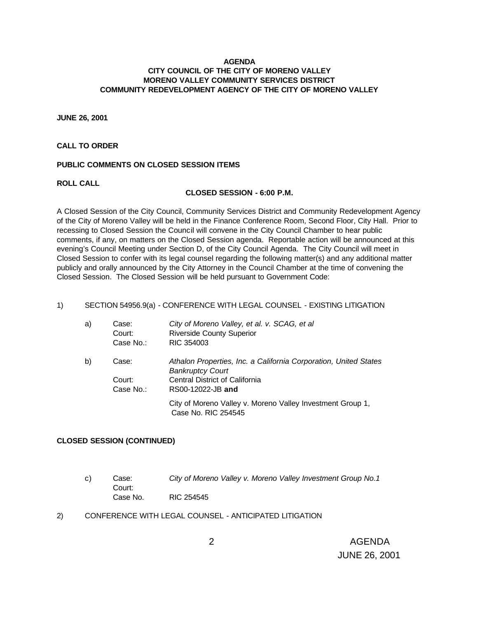## **AGENDA CITY COUNCIL OF THE CITY OF MORENO VALLEY MORENO VALLEY COMMUNITY SERVICES DISTRICT COMMUNITY REDEVELOPMENT AGENCY OF THE CITY OF MORENO VALLEY**

**JUNE 26, 2001**

# **CALL TO ORDER**

## **PUBLIC COMMENTS ON CLOSED SESSION ITEMS**

**ROLL CALL**

### **CLOSED SESSION - 6:00 P.M.**

A Closed Session of the City Council, Community Services District and Community Redevelopment Agency of the City of Moreno Valley will be held in the Finance Conference Room, Second Floor, City Hall. Prior to recessing to Closed Session the Council will convene in the City Council Chamber to hear public comments, if any, on matters on the Closed Session agenda. Reportable action will be announced at this evening's Council Meeting under Section D, of the City Council Agenda. The City Council will meet in Closed Session to confer with its legal counsel regarding the following matter(s) and any additional matter publicly and orally announced by the City Attorney in the Council Chamber at the time of convening the Closed Session. The Closed Session will be held pursuant to Government Code:

## 1) SECTION 54956.9(a) - CONFERENCE WITH LEGAL COUNSEL - EXISTING LITIGATION

| a) | Case:<br>Court:<br>Case No.: | City of Moreno Valley, et al. v. SCAG, et al<br><b>Riverside County Superior</b><br>RIC 354003 |
|----|------------------------------|------------------------------------------------------------------------------------------------|
| b) | Case:                        | Athalon Properties, Inc. a California Corporation, United States<br><b>Bankruptcy Court</b>    |
|    | Court:                       | Central District of California                                                                 |
|    | Case No.:                    | RS00-12022-JB and                                                                              |
|    |                              | City of Moreno Valley v. Moreno Valley Investment Group 1,<br>Case No. RIC 254545              |

# **CLOSED SESSION (CONTINUED)**

- c) Case: *City of Moreno Valley v. Moreno Valley Investment Group No.1* Court: Case No. RIC 254545
- 2) CONFERENCE WITH LEGAL COUNSEL ANTICIPATED LITIGATION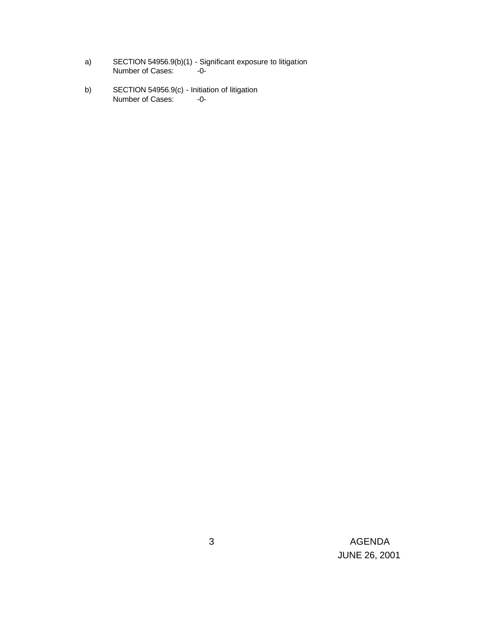- a) SECTION 54956.9(b)(1) Significant exposure to litigation Number of Cases: -0-
- b) SECTION 54956.9(c) Initiation of litigation Number of Cases: -0-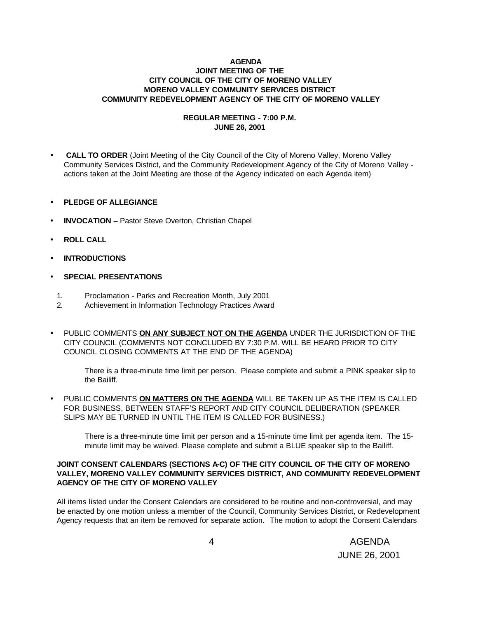## **AGENDA JOINT MEETING OF THE CITY COUNCIL OF THE CITY OF MORENO VALLEY MORENO VALLEY COMMUNITY SERVICES DISTRICT COMMUNITY REDEVELOPMENT AGENCY OF THE CITY OF MORENO VALLEY**

# **REGULAR MEETING - 7:00 P.M. JUNE 26, 2001**

- • **CALL TO ORDER** (Joint Meeting of the City Council of the City of Moreno Valley, Moreno Valley Community Services District, and the Community Redevelopment Agency of the City of Moreno Valley actions taken at the Joint Meeting are those of the Agency indicated on each Agenda item)
- **PLEDGE OF ALLEGIANCE**
- **INVOCATION** Pastor Steve Overton, Christian Chapel
- **ROLL CALL**
- **INTRODUCTIONS**
- **SPECIAL PRESENTATIONS**
	- 1. Proclamation Parks and Recreation Month, July 2001
	- 2. Achievement in Information Technology Practices Award
- PUBLIC COMMENTS **ON ANY SUBJECT NOT ON THE AGENDA** UNDER THE JURISDICTION OF THE CITY COUNCIL (COMMENTS NOT CONCLUDED BY 7:30 P.M. WILL BE HEARD PRIOR TO CITY COUNCIL CLOSING COMMENTS AT THE END OF THE AGENDA)

There is a three-minute time limit per person. Please complete and submit a PINK speaker slip to the Bailiff.

• PUBLIC COMMENTS **ON MATTERS ON THE AGENDA** WILL BE TAKEN UP AS THE ITEM IS CALLED FOR BUSINESS, BETWEEN STAFF'S REPORT AND CITY COUNCIL DELIBERATION (SPEAKER SLIPS MAY BE TURNED IN UNTIL THE ITEM IS CALLED FOR BUSINESS.)

There is a three-minute time limit per person and a 15-minute time limit per agenda item. The 15 minute limit may be waived. Please complete and submit a BLUE speaker slip to the Bailiff.

# **JOINT CONSENT CALENDARS (SECTIONS A-C) OF THE CITY COUNCIL OF THE CITY OF MORENO VALLEY, MORENO VALLEY COMMUNITY SERVICES DISTRICT, AND COMMUNITY REDEVELOPMENT AGENCY OF THE CITY OF MORENO VALLEY**

All items listed under the Consent Calendars are considered to be routine and non-controversial, and may be enacted by one motion unless a member of the Council, Community Services District, or Redevelopment Agency requests that an item be removed for separate action. The motion to adopt the Consent Calendars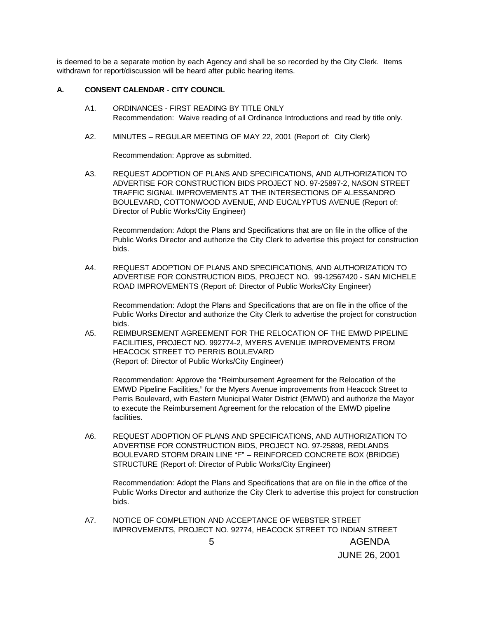is deemed to be a separate motion by each Agency and shall be so recorded by the City Clerk. Items withdrawn for report/discussion will be heard after public hearing items.

# **A. CONSENT CALENDAR** - **CITY COUNCIL**

- A1. ORDINANCES FIRST READING BY TITLE ONLY Recommendation: Waive reading of all Ordinance Introductions and read by title only.
- A2. MINUTES REGULAR MEETING OF MAY 22, 2001 (Report of: City Clerk)

Recommendation: Approve as submitted.

A3. REQUEST ADOPTION OF PLANS AND SPECIFICATIONS, AND AUTHORIZATION TO ADVERTISE FOR CONSTRUCTION BIDS PROJECT NO. 97-25897-2, NASON STREET TRAFFIC SIGNAL IMPROVEMENTS AT THE INTERSECTIONS OF ALESSANDRO BOULEVARD, COTTONWOOD AVENUE, AND EUCALYPTUS AVENUE (Report of: Director of Public Works/City Engineer)

Recommendation: Adopt the Plans and Specifications that are on file in the office of the Public Works Director and authorize the City Clerk to advertise this project for construction bids.

A4. REQUEST ADOPTION OF PLANS AND SPECIFICATIONS, AND AUTHORIZATION TO ADVERTISE FOR CONSTRUCTION BIDS, PROJECT NO. 99-12567420 - SAN MICHELE ROAD IMPROVEMENTS (Report of: Director of Public Works/City Engineer)

Recommendation: Adopt the Plans and Specifications that are on file in the office of the Public Works Director and authorize the City Clerk to advertise the project for construction bids.

A5. REIMBURSEMENT AGREEMENT FOR THE RELOCATION OF THE EMWD PIPELINE FACILITIES, PROJECT NO. 992774-2, MYERS AVENUE IMPROVEMENTS FROM HEACOCK STREET TO PERRIS BOULEVARD (Report of: Director of Public Works/City Engineer)

Recommendation: Approve the "Reimbursement Agreement for the Relocation of the EMWD Pipeline Facilities," for the Myers Avenue improvements from Heacock Street to Perris Boulevard, with Eastern Municipal Water District (EMWD) and authorize the Mayor to execute the Reimbursement Agreement for the relocation of the EMWD pipeline facilities.

A6. REQUEST ADOPTION OF PLANS AND SPECIFICATIONS, AND AUTHORIZATION TO ADVERTISE FOR CONSTRUCTION BIDS, PROJECT NO. 97-25898, REDLANDS BOULEVARD STORM DRAIN LINE "F" – REINFORCED CONCRETE BOX (BRIDGE) STRUCTURE (Report of: Director of Public Works/City Engineer)

Recommendation: Adopt the Plans and Specifications that are on file in the office of the Public Works Director and authorize the City Clerk to advertise this project for construction bids.

 5 AGENDA A7. NOTICE OF COMPLETION AND ACCEPTANCE OF WEBSTER STREET IMPROVEMENTS, PROJECT NO. 92774, HEACOCK STREET TO INDIAN STREET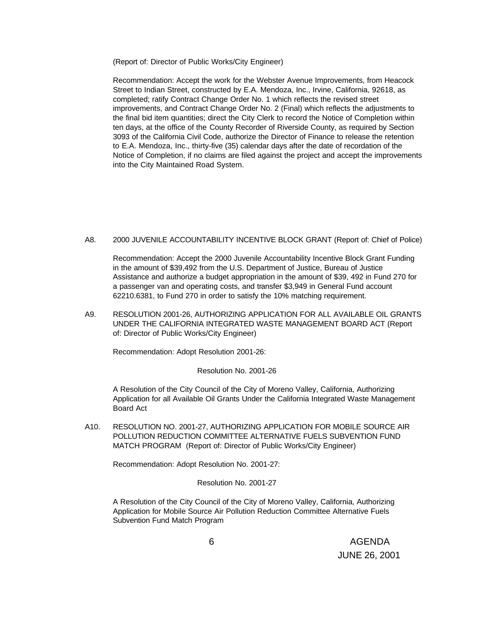(Report of: Director of Public Works/City Engineer)

Recommendation: Accept the work for the Webster Avenue Improvements, from Heacock Street to Indian Street, constructed by E.A. Mendoza, Inc., Irvine, California, 92618, as completed; ratify Contract Change Order No. 1 which reflects the revised street improvements, and Contract Change Order No. 2 (Final) which reflects the adjustments to the final bid item quantities; direct the City Clerk to record the Notice of Completion within ten days, at the office of the County Recorder of Riverside County, as required by Section 3093 of the California Civil Code, authorize the Director of Finance to release the retention to E.A. Mendoza, Inc., thirty-five (35) calendar days after the date of recordation of the Notice of Completion, if no claims are filed against the project and accept the improvements into the City Maintained Road System.

A8. 2000 JUVENILE ACCOUNTABILITY INCENTIVE BLOCK GRANT (Report of: Chief of Police)

Recommendation: Accept the 2000 Juvenile Accountability Incentive Block Grant Funding in the amount of \$39,492 from the U.S. Department of Justice, Bureau of Justice Assistance and authorize a budget appropriation in the amount of \$39, 492 in Fund 270 for a passenger van and operating costs, and transfer \$3,949 in General Fund account 62210.6381, to Fund 270 in order to satisfy the 10% matching requirement.

A9. RESOLUTION 2001-26, AUTHORIZING APPLICATION FOR ALL AVAILABLE OIL GRANTS UNDER THE CALIFORNIA INTEGRATED WASTE MANAGEMENT BOARD ACT (Report of: Director of Public Works/City Engineer)

Recommendation: Adopt Resolution 2001-26:

## Resolution No. 2001-26

A Resolution of the City Council of the City of Moreno Valley, California, Authorizing Application for all Available Oil Grants Under the California Integrated Waste Management Board Act

A10. RESOLUTION NO. 2001-27, AUTHORIZING APPLICATION FOR MOBILE SOURCE AIR POLLUTION REDUCTION COMMITTEE ALTERNATIVE FUELS SUBVENTION FUND MATCH PROGRAM (Report of: Director of Public Works/City Engineer)

Recommendation: Adopt Resolution No. 2001-27:

Resolution No. 2001-27

A Resolution of the City Council of the City of Moreno Valley, California, Authorizing Application for Mobile Source Air Pollution Reduction Committee Alternative Fuels Subvention Fund Match Program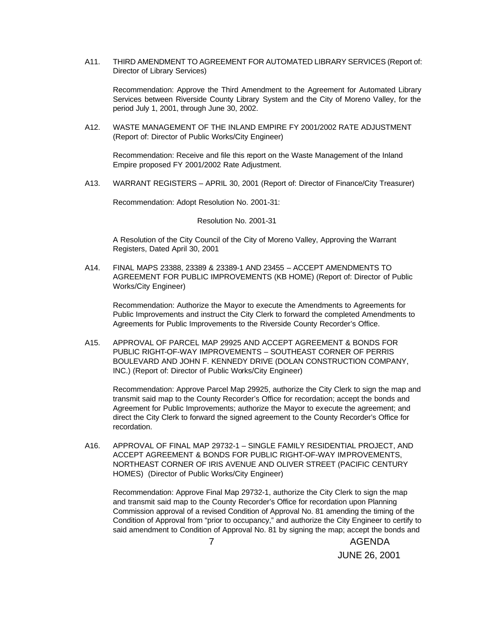A11. THIRD AMENDMENT TO AGREEMENT FOR AUTOMATED LIBRARY SERVICES (Report of: Director of Library Services)

Recommendation: Approve the Third Amendment to the Agreement for Automated Library Services between Riverside County Library System and the City of Moreno Valley, for the period July 1, 2001, through June 30, 2002.

A12. WASTE MANAGEMENT OF THE INLAND EMPIRE FY 2001/2002 RATE ADJUSTMENT (Report of: Director of Public Works/City Engineer)

Recommendation: Receive and file this report on the Waste Management of the Inland Empire proposed FY 2001/2002 Rate Adjustment.

A13. WARRANT REGISTERS – APRIL 30, 2001 (Report of: Director of Finance/City Treasurer)

Recommendation: Adopt Resolution No. 2001-31:

Resolution No. 2001-31

A Resolution of the City Council of the City of Moreno Valley, Approving the Warrant Registers, Dated April 30, 2001

A14. FINAL MAPS 23388, 23389 & 23389-1 AND 23455 – ACCEPT AMENDMENTS TO AGREEMENT FOR PUBLIC IMPROVEMENTS (KB HOME) (Report of: Director of Public Works/City Engineer)

Recommendation: Authorize the Mayor to execute the Amendments to Agreements for Public Improvements and instruct the City Clerk to forward the completed Amendments to Agreements for Public Improvements to the Riverside County Recorder's Office.

A15. APPROVAL OF PARCEL MAP 29925 AND ACCEPT AGREEMENT & BONDS FOR PUBLIC RIGHT-OF-WAY IMPROVEMENTS – SOUTHEAST CORNER OF PERRIS BOULEVARD AND JOHN F. KENNEDY DRIVE (DOLAN CONSTRUCTION COMPANY, INC.) (Report of: Director of Public Works/City Engineer)

Recommendation: Approve Parcel Map 29925, authorize the City Clerk to sign the map and transmit said map to the County Recorder's Office for recordation; accept the bonds and Agreement for Public Improvements; authorize the Mayor to execute the agreement; and direct the City Clerk to forward the signed agreement to the County Recorder's Office for recordation.

A16. APPROVAL OF FINAL MAP 29732-1 – SINGLE FAMILY RESIDENTIAL PROJECT, AND ACCEPT AGREEMENT & BONDS FOR PUBLIC RIGHT-OF-WAY IMPROVEMENTS, NORTHEAST CORNER OF IRIS AVENUE AND OLIVER STREET (PACIFIC CENTURY HOMES) (Director of Public Works/City Engineer)

Recommendation: Approve Final Map 29732-1, authorize the City Clerk to sign the map and transmit said map to the County Recorder's Office for recordation upon Planning Commission approval of a revised Condition of Approval No. 81 amending the timing of the Condition of Approval from "prior to occupancy," and authorize the City Engineer to certify to said amendment to Condition of Approval No. 81 by signing the map; accept the bonds and

 7 AGENDA JUNE 26, 2001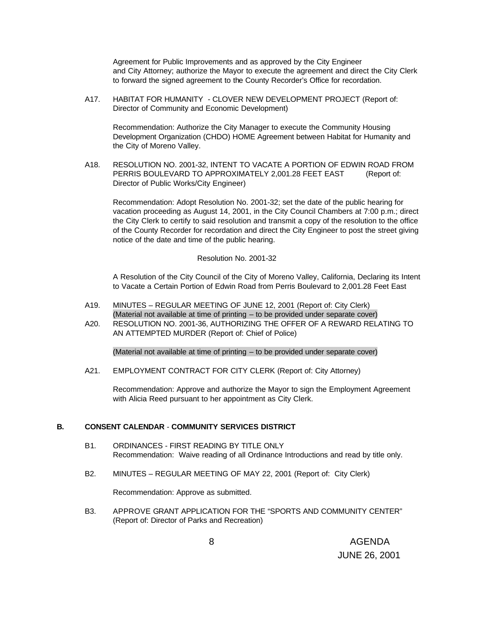Agreement for Public Improvements and as approved by the City Engineer and City Attorney; authorize the Mayor to execute the agreement and direct the City Clerk to forward the signed agreement to the County Recorder's Office for recordation.

A17. HABITAT FOR HUMANITY - CLOVER NEW DEVELOPMENT PROJECT (Report of: Director of Community and Economic Development)

Recommendation: Authorize the City Manager to execute the Community Housing Development Organization (CHDO) HOME Agreement between Habitat for Humanity and the City of Moreno Valley.

A18. RESOLUTION NO. 2001-32, INTENT TO VACATE A PORTION OF EDWIN ROAD FROM PERRIS BOULEVARD TO APPROXIMATELY 2,001.28 FEET EAST (Report of: Director of Public Works/City Engineer)

Recommendation: Adopt Resolution No. 2001-32; set the date of the public hearing for vacation proceeding as August 14, 2001, in the City Council Chambers at 7:00 p.m.; direct the City Clerk to certify to said resolution and transmit a copy of the resolution to the office of the County Recorder for recordation and direct the City Engineer to post the street giving notice of the date and time of the public hearing.

### Resolution No. 2001-32

A Resolution of the City Council of the City of Moreno Valley, California, Declaring its Intent to Vacate a Certain Portion of Edwin Road from Perris Boulevard to 2,001.28 Feet East

- A19. MINUTES REGULAR MEETING OF JUNE 12, 2001 (Report of: City Clerk) (Material not available at time of printing – to be provided under separate cover)
- A20. RESOLUTION NO. 2001-36, AUTHORIZING THE OFFER OF A REWARD RELATING TO AN ATTEMPTED MURDER (Report of: Chief of Police)

(Material not available at time of printing – to be provided under separate cover)

A21. EMPLOYMENT CONTRACT FOR CITY CLERK (Report of: City Attorney)

Recommendation: Approve and authorize the Mayor to sign the Employment Agreement with Alicia Reed pursuant to her appointment as City Clerk.

## **B. CONSENT CALENDAR** - **COMMUNITY SERVICES DISTRICT**

- B1. ORDINANCES FIRST READING BY TITLE ONLY Recommendation: Waive reading of all Ordinance Introductions and read by title only.
- B2. MINUTES REGULAR MEETING OF MAY 22, 2001 (Report of: City Clerk)

Recommendation: Approve as submitted.

B3. APPROVE GRANT APPLICATION FOR THE "SPORTS AND COMMUNITY CENTER" (Report of: Director of Parks and Recreation)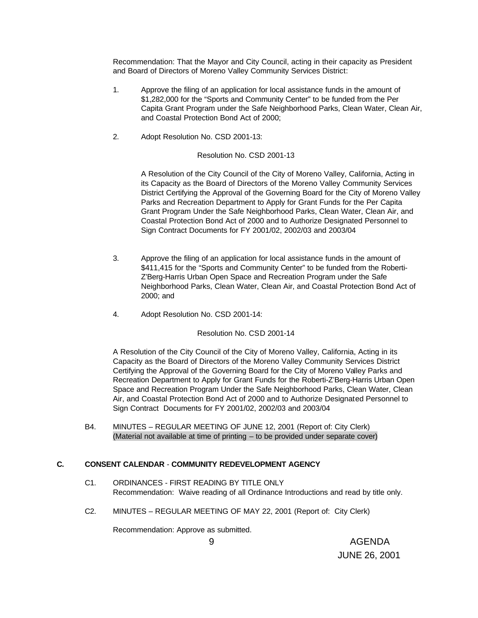Recommendation: That the Mayor and City Council, acting in their capacity as President and Board of Directors of Moreno Valley Community Services District:

- 1. Approve the filing of an application for local assistance funds in the amount of \$1,282,000 for the "Sports and Community Center" to be funded from the Per Capita Grant Program under the Safe Neighborhood Parks, Clean Water, Clean Air, and Coastal Protection Bond Act of 2000;
- 2. Adopt Resolution No. CSD 2001-13:

## Resolution No. CSD 2001-13

A Resolution of the City Council of the City of Moreno Valley, California, Acting in its Capacity as the Board of Directors of the Moreno Valley Community Services District Certifying the Approval of the Governing Board for the City of Moreno Valley Parks and Recreation Department to Apply for Grant Funds for the Per Capita Grant Program Under the Safe Neighborhood Parks, Clean Water, Clean Air, and Coastal Protection Bond Act of 2000 and to Authorize Designated Personnel to Sign Contract Documents for FY 2001/02, 2002/03 and 2003/04

- 3. Approve the filing of an application for local assistance funds in the amount of \$411,415 for the "Sports and Community Center" to be funded from the Roberti-Z'Berg-Harris Urban Open Space and Recreation Program under the Safe Neighborhood Parks, Clean Water, Clean Air, and Coastal Protection Bond Act of 2000; and
- 4. Adopt Resolution No. CSD 2001-14:

Resolution No. CSD 2001-14

A Resolution of the City Council of the City of Moreno Valley, California, Acting in its Capacity as the Board of Directors of the Moreno Valley Community Services District Certifying the Approval of the Governing Board for the City of Moreno Valley Parks and Recreation Department to Apply for Grant Funds for the Roberti-Z'Berg-Harris Urban Open Space and Recreation Program Under the Safe Neighborhood Parks, Clean Water, Clean Air, and Coastal Protection Bond Act of 2000 and to Authorize Designated Personnel to Sign Contract Documents for FY 2001/02, 2002/03 and 2003/04

B4. MINUTES – REGULAR MEETING OF JUNE 12, 2001 (Report of: City Clerk) (Material not available at time of printing – to be provided under separate cover)

# **C. CONSENT CALENDAR** - **COMMUNITY REDEVELOPMENT AGENCY**

- C1. ORDINANCES FIRST READING BY TITLE ONLY Recommendation: Waive reading of all Ordinance Introductions and read by title only.
- C2. MINUTES REGULAR MEETING OF MAY 22, 2001 (Report of: City Clerk)

Recommendation: Approve as submitted.

 9 AGENDA JUNE 26, 2001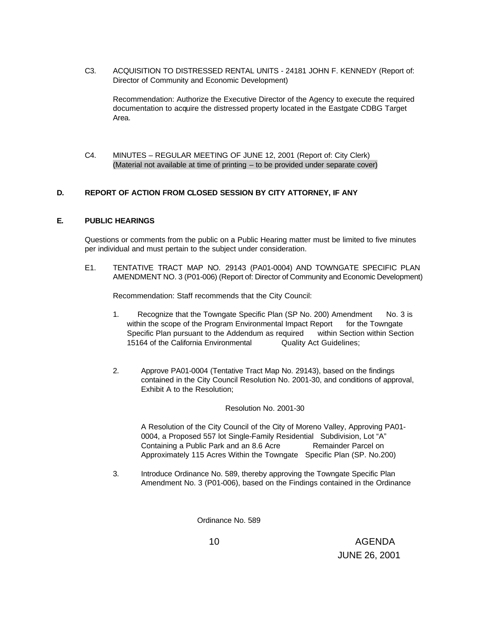C3. ACQUISITION TO DISTRESSED RENTAL UNITS - 24181 JOHN F. KENNEDY (Report of: Director of Community and Economic Development)

Recommendation: Authorize the Executive Director of the Agency to execute the required documentation to acquire the distressed property located in the Eastgate CDBG Target Area.

C4. MINUTES – REGULAR MEETING OF JUNE 12, 2001 (Report of: City Clerk) (Material not available at time of printing – to be provided under separate cover)

# **D. REPORT OF ACTION FROM CLOSED SESSION BY CITY ATTORNEY, IF ANY**

## **E. PUBLIC HEARINGS**

Questions or comments from the public on a Public Hearing matter must be limited to five minutes per individual and must pertain to the subject under consideration.

E1. TENTATIVE TRACT MAP NO. 29143 (PA01-0004) AND TOWNGATE SPECIFIC PLAN AMENDMENT NO. 3 (P01-006) (Report of: Director of Community and Economic Development)

Recommendation: Staff recommends that the City Council:

- 1. Recognize that the Towngate Specific Plan (SP No. 200) Amendment No. 3 is within the scope of the Program Environmental Impact Report for the Towngate Specific Plan pursuant to the Addendum as required within Section within Section 15164 of the California Environmental Quality Act Guidelines;
- 2. Approve PA01-0004 (Tentative Tract Map No. 29143), based on the findings contained in the City Council Resolution No. 2001-30, and conditions of approval, Exhibit A to the Resolution;

#### Resolution No. 2001-30

A Resolution of the City Council of the City of Moreno Valley, Approving PA01- 0004, a Proposed 557 lot Single-Family Residential Subdivision, Lot "A" Containing a Public Park and an 8.6 Acre Remainder Parcel on Approximately 115 Acres Within the Towngate Specific Plan (SP. No.200)

3. Introduce Ordinance No. 589, thereby approving the Towngate Specific Plan Amendment No. 3 (P01-006), based on the Findings contained in the Ordinance

Ordinance No. 589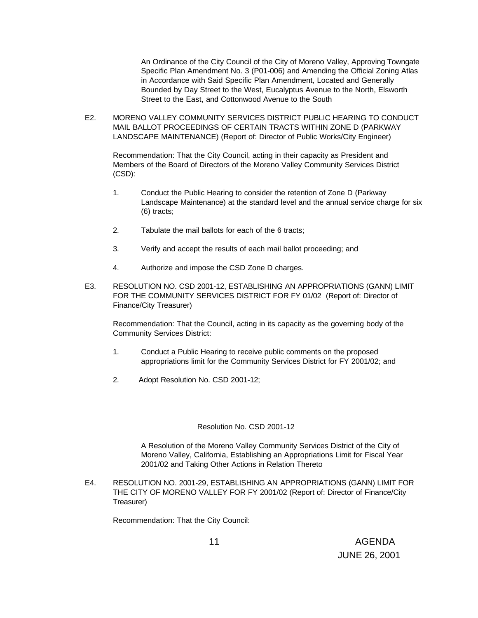An Ordinance of the City Council of the City of Moreno Valley, Approving Towngate Specific Plan Amendment No. 3 (P01-006) and Amending the Official Zoning Atlas in Accordance with Said Specific Plan Amendment, Located and Generally Bounded by Day Street to the West, Eucalyptus Avenue to the North, Elsworth Street to the East, and Cottonwood Avenue to the South

E2. MORENO VALLEY COMMUNITY SERVICES DISTRICT PUBLIC HEARING TO CONDUCT MAIL BALLOT PROCEEDINGS OF CERTAIN TRACTS WITHIN ZONE D (PARKWAY LANDSCAPE MAINTENANCE) (Report of: Director of Public Works/City Engineer)

Recommendation: That the City Council, acting in their capacity as President and Members of the Board of Directors of the Moreno Valley Community Services District (CSD):

- 1. Conduct the Public Hearing to consider the retention of Zone D (Parkway Landscape Maintenance) at the standard level and the annual service charge for six (6) tracts;
- 2. Tabulate the mail ballots for each of the 6 tracts;
- 3. Verify and accept the results of each mail ballot proceeding; and
- 4. Authorize and impose the CSD Zone D charges.
- E3. RESOLUTION NO. CSD 2001-12, ESTABLISHING AN APPROPRIATIONS (GANN) LIMIT FOR THE COMMUNITY SERVICES DISTRICT FOR FY 01/02 (Report of: Director of Finance/City Treasurer)

Recommendation: That the Council, acting in its capacity as the governing body of the Community Services District:

- 1. Conduct a Public Hearing to receive public comments on the proposed appropriations limit for the Community Services District for FY 2001/02; and
- 2. Adopt Resolution No. CSD 2001-12;

## Resolution No. CSD 2001-12

A Resolution of the Moreno Valley Community Services District of the City of Moreno Valley, California, Establishing an Appropriations Limit for Fiscal Year 2001/02 and Taking Other Actions in Relation Thereto

E4. RESOLUTION NO. 2001-29, ESTABLISHING AN APPROPRIATIONS (GANN) LIMIT FOR THE CITY OF MORENO VALLEY FOR FY 2001/02 (Report of: Director of Finance/City Treasurer)

Recommendation: That the City Council: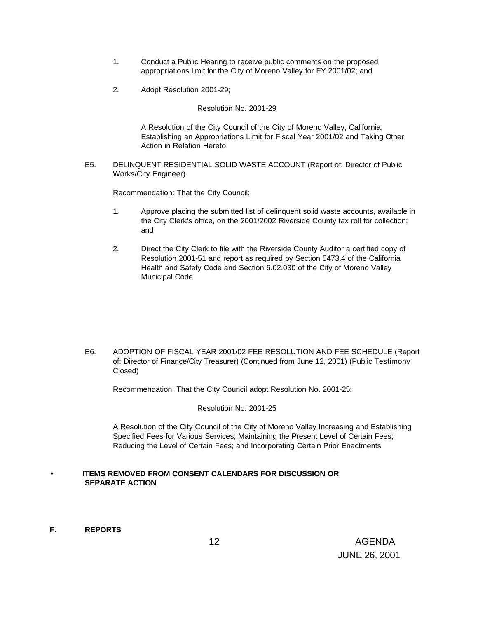- 1. Conduct a Public Hearing to receive public comments on the proposed appropriations limit for the City of Moreno Valley for FY 2001/02; and
- 2. Adopt Resolution 2001-29;

Resolution No. 2001-29

A Resolution of the City Council of the City of Moreno Valley, California, Establishing an Appropriations Limit for Fiscal Year 2001/02 and Taking Other Action in Relation Hereto

E5. DELINQUENT RESIDENTIAL SOLID WASTE ACCOUNT (Report of: Director of Public Works/City Engineer)

Recommendation: That the City Council:

- 1. Approve placing the submitted list of delinquent solid waste accounts, available in the City Clerk's office, on the 2001/2002 Riverside County tax roll for collection; and
- 2. Direct the City Clerk to file with the Riverside County Auditor a certified copy of Resolution 2001-51 and report as required by Section 5473.4 of the California Health and Safety Code and Section 6.02.030 of the City of Moreno Valley Municipal Code.

E6. ADOPTION OF FISCAL YEAR 2001/02 FEE RESOLUTION AND FEE SCHEDULE (Report of: Director of Finance/City Treasurer) (Continued from June 12, 2001) (Public Testimony Closed)

Recommendation: That the City Council adopt Resolution No. 2001-25:

Resolution No. 2001-25

A Resolution of the City Council of the City of Moreno Valley Increasing and Establishing Specified Fees for Various Services; Maintaining the Present Level of Certain Fees; Reducing the Level of Certain Fees; and Incorporating Certain Prior Enactments

# • **ITEMS REMOVED FROM CONSENT CALENDARS FOR DISCUSSION OR SEPARATE ACTION**

**F. REPORTS**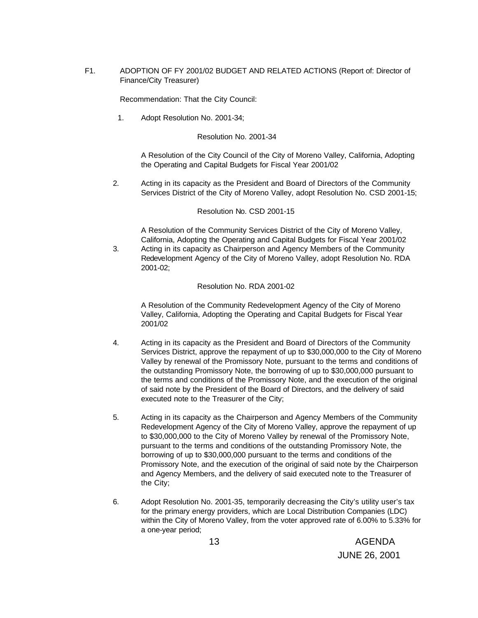F1. ADOPTION OF FY 2001/02 BUDGET AND RELATED ACTIONS (Report of: Director of Finance/City Treasurer)

Recommendation: That the City Council:

1. Adopt Resolution No. 2001-34;

#### Resolution No. 2001-34

A Resolution of the City Council of the City of Moreno Valley, California, Adopting the Operating and Capital Budgets for Fiscal Year 2001/02

2. Acting in its capacity as the President and Board of Directors of the Community Services District of the City of Moreno Valley, adopt Resolution No. CSD 2001-15;

#### Resolution No. CSD 2001-15

A Resolution of the Community Services District of the City of Moreno Valley, California, Adopting the Operating and Capital Budgets for Fiscal Year 2001/02

3. Acting in its capacity as Chairperson and Agency Members of the Community Redevelopment Agency of the City of Moreno Valley, adopt Resolution No. RDA 2001-02;

## Resolution No. RDA 2001-02

A Resolution of the Community Redevelopment Agency of the City of Moreno Valley, California, Adopting the Operating and Capital Budgets for Fiscal Year 2001/02

- 4. Acting in its capacity as the President and Board of Directors of the Community Services District, approve the repayment of up to \$30,000,000 to the City of Moreno Valley by renewal of the Promissory Note, pursuant to the terms and conditions of the outstanding Promissory Note, the borrowing of up to \$30,000,000 pursuant to the terms and conditions of the Promissory Note, and the execution of the original of said note by the President of the Board of Directors, and the delivery of said executed note to the Treasurer of the City;
- 5. Acting in its capacity as the Chairperson and Agency Members of the Community Redevelopment Agency of the City of Moreno Valley, approve the repayment of up to \$30,000,000 to the City of Moreno Valley by renewal of the Promissory Note, pursuant to the terms and conditions of the outstanding Promissory Note, the borrowing of up to \$30,000,000 pursuant to the terms and conditions of the Promissory Note, and the execution of the original of said note by the Chairperson and Agency Members, and the delivery of said executed note to the Treasurer of the City;
- 6. Adopt Resolution No. 2001-35, temporarily decreasing the City's utility user's tax for the primary energy providers, which are Local Distribution Companies (LDC) within the City of Moreno Valley, from the voter approved rate of 6.00% to 5.33% for a one-year period;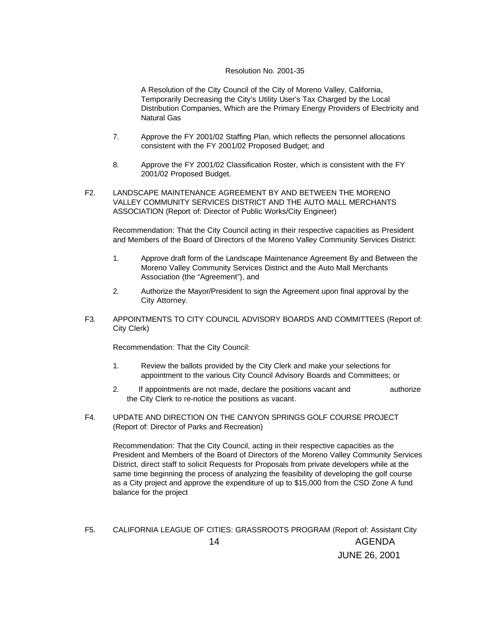## Resolution No. 2001-35

A Resolution of the City Council of the City of Moreno Valley, California, Temporarily Decreasing the City's Utility User's Tax Charged by the Local Distribution Companies, Which are the Primary Energy Providers of Electricity and Natural Gas

- 7. Approve the FY 2001/02 Staffing Plan, which reflects the personnel allocations consistent with the FY 2001/02 Proposed Budget; and
- 8. Approve the FY 2001/02 Classification Roster, which is consistent with the FY 2001/02 Proposed Budget.
- F2. LANDSCAPE MAINTENANCE AGREEMENT BY AND BETWEEN THE MORENO VALLEY COMMUNITY SERVICES DISTRICT AND THE AUTO MALL MERCHANTS ASSOCIATION (Report of: Director of Public Works/City Engineer)

Recommendation: That the City Council acting in their respective capacities as President and Members of the Board of Directors of the Moreno Valley Community Services District:

- 1. Approve draft form of the Landscape Maintenance Agreement By and Between the Moreno Valley Community Services District and the Auto Mall Merchants Association (the "Agreement"), and
- 2. Authorize the Mayor/President to sign the Agreement upon final approval by the City Attorney.
- F3. APPOINTMENTS TO CITY COUNCIL ADVISORY BOARDS AND COMMITTEES (Report of: City Clerk)

Recommendation: That the City Council:

- 1. Review the ballots provided by the City Clerk and make your selections for appointment to the various City Council Advisory Boards and Committees; or
- 2. If appointments are not made, declare the positions vacant and authorize the City Clerk to re-notice the positions as vacant.
- F4. UPDATE AND DIRECTION ON THE CANYON SPRINGS GOLF COURSE PROJECT (Report of: Director of Parks and Recreation)

Recommendation: That the City Council, acting in their respective capacities as the President and Members of the Board of Directors of the Moreno Valley Community Services District, direct staff to solicit Requests for Proposals from private developers while at the same time beginning the process of analyzing the feasibility of developing the golf course as a City project and approve the expenditure of up to \$15,000 from the CSD Zone A fund balance for the project

 14 AGENDA JUNE 26, 2001 F5. CALIFORNIA LEAGUE OF CITIES: GRASSROOTS PROGRAM (Report of: Assistant City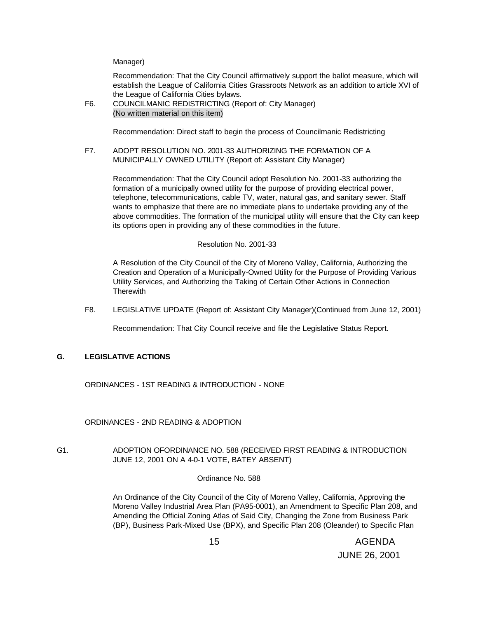Manager)

Recommendation: That the City Council affirmatively support the ballot measure, which will establish the League of California Cities Grassroots Network as an addition to article XVI of the League of California Cities bylaws.

F6. COUNCILMANIC REDISTRICTING (Report of: City Manager) (No written material on this item)

Recommendation: Direct staff to begin the process of Councilmanic Redistricting

F7. ADOPT RESOLUTION NO. 2001-33 AUTHORIZING THE FORMATION OF A MUNICIPALLY OWNED UTILITY (Report of: Assistant City Manager)

Recommendation: That the City Council adopt Resolution No. 2001-33 authorizing the formation of a municipally owned utility for the purpose of providing electrical power, telephone, telecommunications, cable TV, water, natural gas, and sanitary sewer. Staff wants to emphasize that there are no immediate plans to undertake providing any of the above commodities. The formation of the municipal utility will ensure that the City can keep its options open in providing any of these commodities in the future.

## Resolution No. 2001-33

A Resolution of the City Council of the City of Moreno Valley, California, Authorizing the Creation and Operation of a Municipally-Owned Utility for the Purpose of Providing Various Utility Services, and Authorizing the Taking of Certain Other Actions in Connection **Therewith** 

F8. LEGISLATIVE UPDATE (Report of: Assistant City Manager)(Continued from June 12, 2001)

Recommendation: That City Council receive and file the Legislative Status Report.

## **G. LEGISLATIVE ACTIONS**

ORDINANCES - 1ST READING & INTRODUCTION - NONE

ORDINANCES - 2ND READING & ADOPTION

# G1. ADOPTION OFORDINANCE NO. 588 (RECEIVED FIRST READING & INTRODUCTION JUNE 12, 2001 ON A 4-0-1 VOTE, BATEY ABSENT)

## Ordinance No. 588

An Ordinance of the City Council of the City of Moreno Valley, California, Approving the Moreno Valley Industrial Area Plan (PA95-0001), an Amendment to Specific Plan 208, and Amending the Official Zoning Atlas of Said City, Changing the Zone from Business Park (BP), Business Park-Mixed Use (BPX), and Specific Plan 208 (Oleander) to Specific Plan